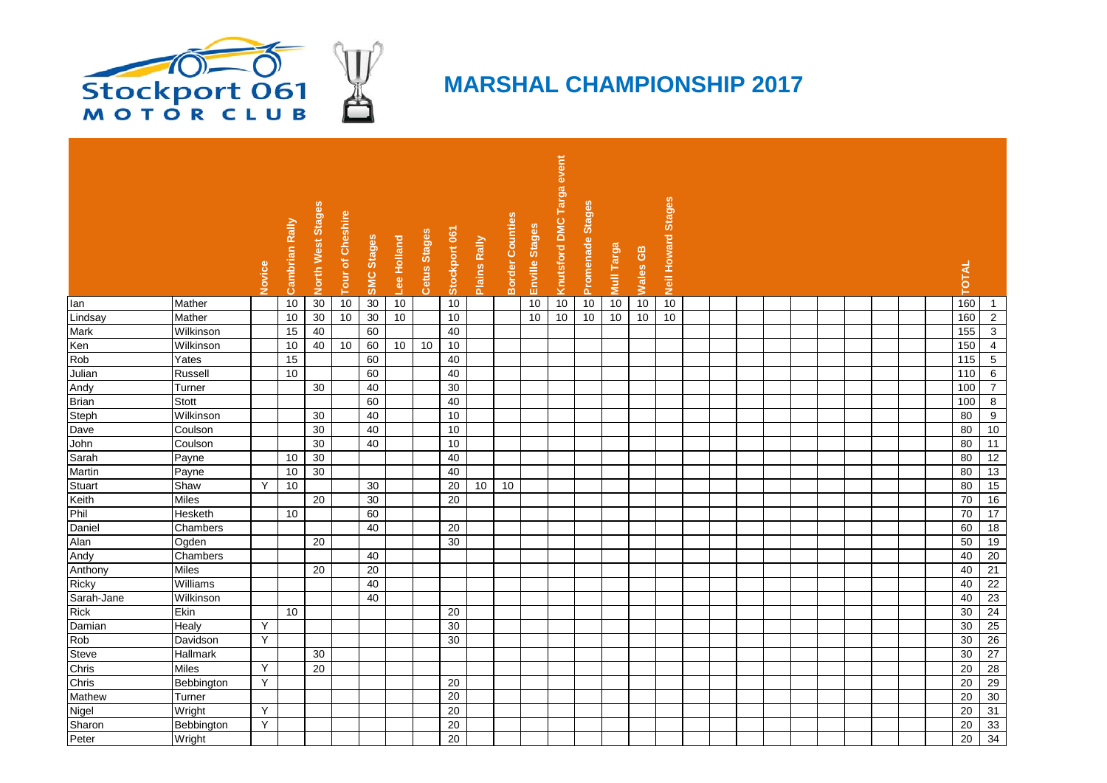

## **MARSHAL CHAMPIONSHIP 2017**

|             |              |        | Rally    |                   |                  |                   |             |              |                 |                 |                        |                | event               |                  |            |                 | <b>Stages</b> |  |  |  |  |  |                   |                  |
|-------------|--------------|--------|----------|-------------------|------------------|-------------------|-------------|--------------|-----------------|-----------------|------------------------|----------------|---------------------|------------------|------------|-----------------|---------------|--|--|--|--|--|-------------------|------------------|
|             |              | Novice | Cambrian | North West Stages | Tour of Cheshire | <b>SMC Stages</b> | Lee Holland | Cetus Stages | Stockport 061   | Plains Rally    | <b>Border Counties</b> | Enville Stages | Knutsford DMC Targa | Promenade Stages | Mull Targa | <b>Wales GB</b> | Neil Howard   |  |  |  |  |  | <b>OTAL</b>       |                  |
| lan         | Mather       |        | 10       | $30\,$            | 10               | 30                | 10          |              | 10              |                 |                        | 10             | $10$                | 10               | 10         | 10              | 10            |  |  |  |  |  | 160               | $\overline{1}$   |
| Lindsay     | Mather       |        | 10       | 30                | 10               | 30                | 10          |              | 10              |                 |                        | 10             | 10                  | 10               | 10         | 10              | $10$          |  |  |  |  |  | 160               | $\overline{2}$   |
| Mark        | Wilkinson    |        | 15       | 40                |                  | 60                |             |              | 40              |                 |                        |                |                     |                  |            |                 |               |  |  |  |  |  | 155               | $\mathbf{3}$     |
| Ken         | Wilkinson    |        | 10       | 40                | 10               | 60                | 10          | 10           | 10              |                 |                        |                |                     |                  |            |                 |               |  |  |  |  |  | 150               | $\overline{4}$   |
| Rob         | Yates        |        | 15       |                   |                  | 60                |             |              | 40              |                 |                        |                |                     |                  |            |                 |               |  |  |  |  |  | 115               | $\sqrt{5}$       |
| Julian      | Russell      |        | 10       |                   |                  | 60                |             |              | 40              |                 |                        |                |                     |                  |            |                 |               |  |  |  |  |  | $\frac{110}{110}$ | $\,6\,$          |
| Andy        | Turner       |        |          | 30                |                  | 40                |             |              | 30              |                 |                        |                |                     |                  |            |                 |               |  |  |  |  |  | 100               | $\overline{7}$   |
| Brian       | <b>Stott</b> |        |          |                   |                  | 60                |             |              | 40              |                 |                        |                |                     |                  |            |                 |               |  |  |  |  |  | 100               | $\boldsymbol{8}$ |
| Steph       | Wilkinson    |        |          | 30                |                  | 40                |             |              | 10              |                 |                        |                |                     |                  |            |                 |               |  |  |  |  |  | 80                | 9                |
| Dave        | Coulson      |        |          | 30                |                  | 40                |             |              | 10              |                 |                        |                |                     |                  |            |                 |               |  |  |  |  |  | 80                | 10               |
| John        | Coulson      |        |          | 30                |                  | 40                |             |              | $10$            |                 |                        |                |                     |                  |            |                 |               |  |  |  |  |  | 80                | $\overline{11}$  |
| Sarah       | Payne        |        | 10       | 30                |                  |                   |             |              | 40              |                 |                        |                |                     |                  |            |                 |               |  |  |  |  |  | 80                | $\overline{12}$  |
| Martin      | Payne        |        | 10       | 30                |                  |                   |             |              | 40              |                 |                        |                |                     |                  |            |                 |               |  |  |  |  |  | 80                | 13               |
| Stuart      | Shaw         | Y      | 10       |                   |                  | 30                |             |              | 20              | 10 <sup>°</sup> | 10                     |                |                     |                  |            |                 |               |  |  |  |  |  | 80                | 15               |
| Keith       | <b>Miles</b> |        |          | 20                |                  | 30                |             |              | $\overline{20}$ |                 |                        |                |                     |                  |            |                 |               |  |  |  |  |  | 70                | 16               |
| Phil        | Hesketh      |        | 10       |                   |                  | 60                |             |              |                 |                 |                        |                |                     |                  |            |                 |               |  |  |  |  |  | 70                | 17               |
| Daniel      | Chambers     |        |          |                   |                  | 40                |             |              | 20              |                 |                        |                |                     |                  |            |                 |               |  |  |  |  |  | 60                | $\overline{18}$  |
| Alan        | Ogden        |        |          | 20                |                  |                   |             |              | 30              |                 |                        |                |                     |                  |            |                 |               |  |  |  |  |  | 50                | 19               |
| Andy        | Chambers     |        |          |                   |                  | 40                |             |              |                 |                 |                        |                |                     |                  |            |                 |               |  |  |  |  |  | 40                | 20               |
| Anthony     | Miles        |        |          | 20                |                  | 20                |             |              |                 |                 |                        |                |                     |                  |            |                 |               |  |  |  |  |  | 40                | 21               |
| Ricky       | Williams     |        |          |                   |                  | 40                |             |              |                 |                 |                        |                |                     |                  |            |                 |               |  |  |  |  |  | 40                | $\overline{22}$  |
| Sarah-Jane  | Wilkinson    |        |          |                   |                  | 40                |             |              |                 |                 |                        |                |                     |                  |            |                 |               |  |  |  |  |  | 40                | 23               |
| <b>Rick</b> | Ekin         |        | 10       |                   |                  |                   |             |              | 20              |                 |                        |                |                     |                  |            |                 |               |  |  |  |  |  | 30                | 24               |
| Damian      | Healy        | Y      |          |                   |                  |                   |             |              | 30              |                 |                        |                |                     |                  |            |                 |               |  |  |  |  |  | 30                | 25               |
| Rob         | Davidson     | Y      |          |                   |                  |                   |             |              | 30              |                 |                        |                |                     |                  |            |                 |               |  |  |  |  |  | 30                | 26               |
| Steve       | Hallmark     |        |          | 30                |                  |                   |             |              |                 |                 |                        |                |                     |                  |            |                 |               |  |  |  |  |  | 30                | 27               |
| Chris       | Miles        | Y      |          | 20                |                  |                   |             |              |                 |                 |                        |                |                     |                  |            |                 |               |  |  |  |  |  | 20                | 28               |
| Chris       | Bebbington   | Y      |          |                   |                  |                   |             |              | 20              |                 |                        |                |                     |                  |            |                 |               |  |  |  |  |  | 20                | 29               |
| Mathew      | Turner       |        |          |                   |                  |                   |             |              | 20              |                 |                        |                |                     |                  |            |                 |               |  |  |  |  |  | 20                | 30               |
| Nigel       | Wright       | Y      |          |                   |                  |                   |             |              | 20              |                 |                        |                |                     |                  |            |                 |               |  |  |  |  |  | 20                | 31               |
| Sharon      | Bebbington   | Y      |          |                   |                  |                   |             |              | $\overline{20}$ |                 |                        |                |                     |                  |            |                 |               |  |  |  |  |  | 20                | 33               |
| Peter       | Wright       |        |          |                   |                  |                   |             |              | 20              |                 |                        |                |                     |                  |            |                 |               |  |  |  |  |  | $\overline{20}$   | 34               |